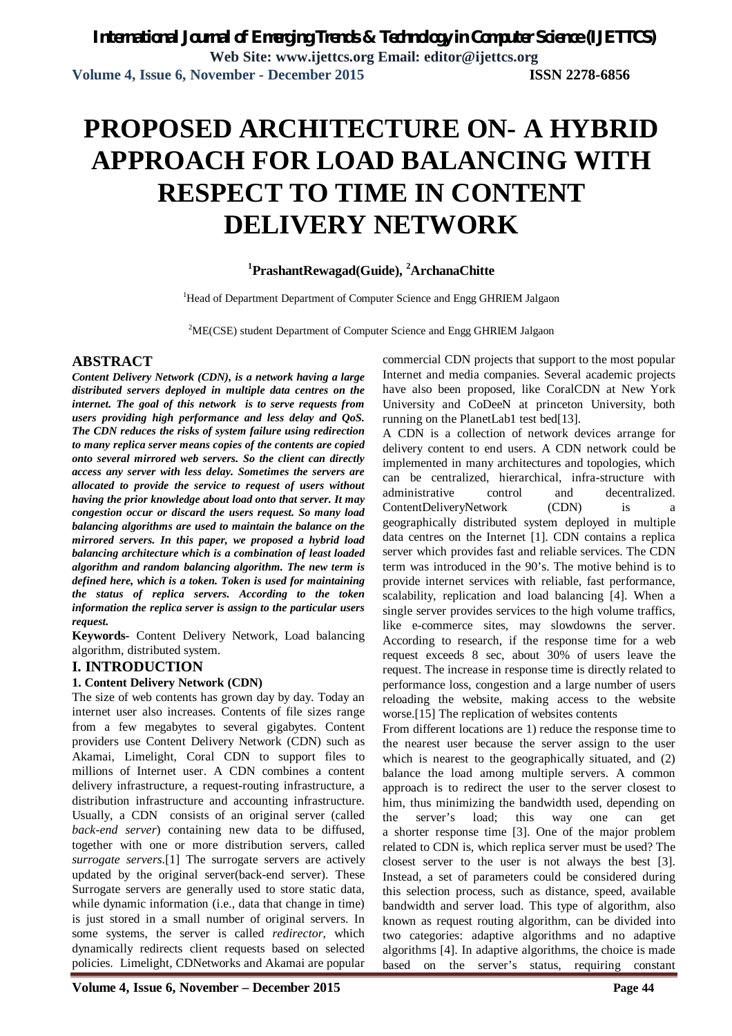# **PROPOSED ARCHITECTURE ON- A HYBRID APPROACH FOR LOAD BALANCING WITH RESPECT TO TIME IN CONTENT DELIVERY NETWORK**

# **<sup>1</sup>PrashantRewagad(Guide), <sup>2</sup>ArchanaChitte**

<sup>1</sup>Head of Department Department of Computer Science and Engg GHRIEM Jalgaon

<sup>2</sup>ME(CSE) student Department of Computer Science and Engg GHRIEM Jalgaon

# **ABSTRACT**

*Content Delivery Network (CDN), is a network having a large distributed servers deployed in multiple data centres on the internet. The goal of this network is to serve requests from users providing high performance and less delay and QoS. The CDN reduces the risks of system failure using redirection to many replica server means copies of the contents are copied onto several mirrored web servers. So the client can directly access any server with less delay. Sometimes the servers are allocated to provide the service to request of users without having the prior knowledge about load onto that server. It may congestion occur or discard the users request. So many load balancing algorithms are used to maintain the balance on the mirrored servers. In this paper, we proposed a hybrid load balancing architecture which is a combination of least loaded algorithm and random balancing algorithm. The new term is defined here, which is a token. Token is used for maintaining the status of replica servers. According to the token information the replica server is assign to the particular users request.* 

**Keywords-** Content Delivery Network, Load balancing algorithm, distributed system.

## **I. INTRODUCTION**

#### **1. Content Delivery Network (CDN)**

The size of web contents has grown day by day. Today an internet user also increases. Contents of file sizes range from a few megabytes to several gigabytes. Content providers use Content Delivery Network (CDN) such as Akamai, Limelight, Coral CDN to support files to millions of Internet user. A CDN combines a content delivery infrastructure, a request-routing infrastructure, a distribution infrastructure and accounting infrastructure. Usually, a CDN consists of an original server (called *back-end server*) containing new data to be diffused, together with one or more distribution servers, called *surrogate servers*.[1] The surrogate servers are actively updated by the original server(back-end server). These Surrogate servers are generally used to store static data, while dynamic information (i.e., data that change in time) is just stored in a small number of original servers. In some systems, the server is called *redirector*, which dynamically redirects client requests based on selected policies. Limelight, CDNetworks and Akamai are popular

commercial CDN projects that support to the most popular Internet and media companies. Several academic projects have also been proposed, like CoralCDN at New York University and CoDeeN at princeton University, both running on the PlanetLab1 test bed[13].

A CDN is a collection of network devices arrange for delivery content to end users. A CDN network could be implemented in many architectures and topologies, which can be centralized, hierarchical, infra-structure with administrative control and decentralized. ContentDeliveryNetwork (CDN) is a geographically distributed system deployed in multiple data centres on the Internet [1]. CDN contains a replica server which provides fast and reliable services. The CDN term was introduced in the 90's. The motive behind is to provide internet services with reliable, fast performance, scalability, replication and load balancing [4]. When a single server provides services to the high volume traffics, like e-commerce sites, may slowdowns the server. According to research, if the response time for a web request exceeds 8 sec, about 30% of users leave the request. The increase in response time is directly related to performance loss, congestion and a large number of users reloading the website, making access to the website worse.[15] The replication of websites contents

From different locations are 1) reduce the response time to the nearest user because the server assign to the user which is nearest to the geographically situated, and (2) balance the load among multiple servers. A common approach is to redirect the user to the server closest to him, thus minimizing the bandwidth used, depending on the server's load; this way one can get a shorter response time [3]. One of the major problem related to CDN is, which replica server must be used? The closest server to the user is not always the best [3]. Instead, a set of parameters could be considered during this selection process, such as distance, speed, available bandwidth and server load. This type of algorithm, also known as request routing algorithm, can be divided into two categories: adaptive algorithms and no adaptive algorithms [4]. In adaptive algorithms, the choice is made based on the server's status, requiring constant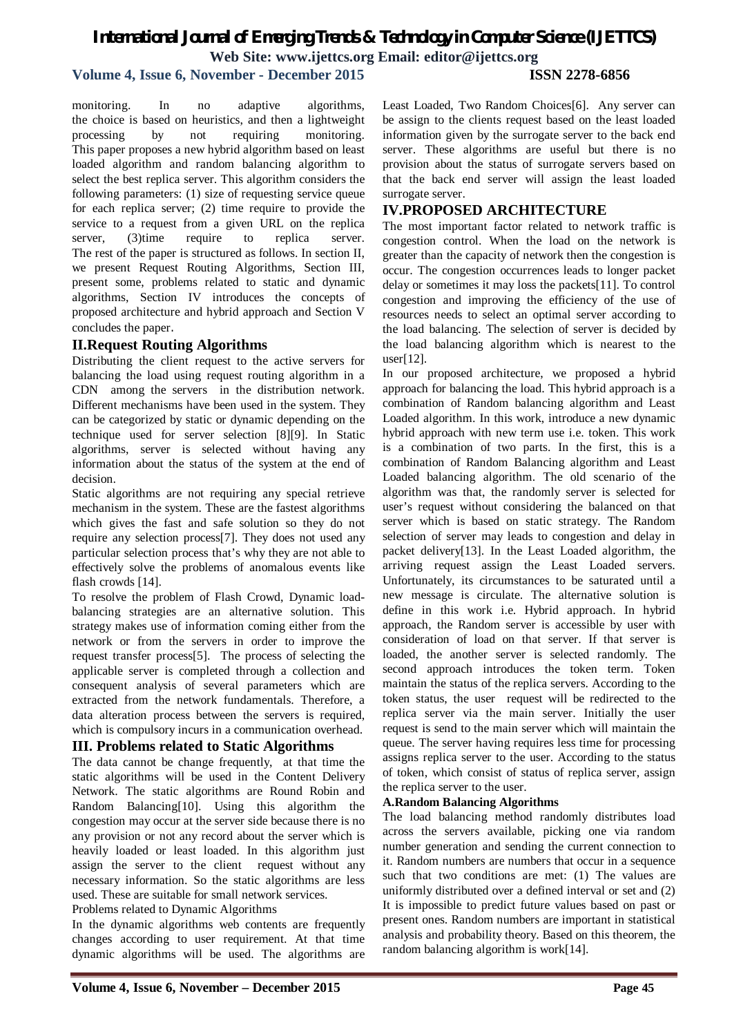# *International Journal of Emerging Trends & Technology in Computer Science (IJETTCS)* **Web Site: www.ijettcs.org Email: editor@ijettcs.org**

# **Volume 4, Issue 6, November - December 2015 ISSN 2278-6856**

monitoring. In no adaptive algorithms, the choice is based on heuristics, and then a lightweight processing by not requiring monitoring. This paper proposes a new hybrid algorithm based on least loaded algorithm and random balancing algorithm to select the best replica server. This algorithm considers the following parameters: (1) size of requesting service queue for each replica server; (2) time require to provide the service to a request from a given URL on the replica server, (3) time require to replica server. The rest of the paper is structured as follows. In section II, we present Request Routing Algorithms, Section III, present some, problems related to static and dynamic algorithms, Section IV introduces the concepts of proposed architecture and hybrid approach and Section V concludes the paper.

## **II.Request Routing Algorithms**

Distributing the client request to the active servers for balancing the load using request routing algorithm in a CDN among the servers in the distribution network. Different mechanisms have been used in the system. They can be categorized by static or dynamic depending on the technique used for server selection [8][9]. In Static algorithms, server is selected without having any information about the status of the system at the end of decision.

Static algorithms are not requiring any special retrieve mechanism in the system. These are the fastest algorithms which gives the fast and safe solution so they do not require any selection process[7]. They does not used any particular selection process that's why they are not able to effectively solve the problems of anomalous events like flash crowds [14].

To resolve the problem of Flash Crowd, Dynamic loadbalancing strategies are an alternative solution. This strategy makes use of information coming either from the network or from the servers in order to improve the request transfer process[5]. The process of selecting the applicable server is completed through a collection and consequent analysis of several parameters which are extracted from the network fundamentals. Therefore, a data alteration process between the servers is required, which is compulsory incurs in a communication overhead.

## **III. Problems related to Static Algorithms**

The data cannot be change frequently, at that time the static algorithms will be used in the Content Delivery Network. The static algorithms are Round Robin and Random Balancing[10]. Using this algorithm the congestion may occur at the server side because there is no any provision or not any record about the server which is heavily loaded or least loaded. In this algorithm just assign the server to the client request without any necessary information. So the static algorithms are less used. These are suitable for small network services.

Problems related to Dynamic Algorithms

In the dynamic algorithms web contents are frequently changes according to user requirement. At that time dynamic algorithms will be used. The algorithms are Least Loaded, Two Random Choices[6]. Any server can be assign to the clients request based on the least loaded information given by the surrogate server to the back end server. These algorithms are useful but there is no provision about the status of surrogate servers based on that the back end server will assign the least loaded surrogate server.

#### **IV.PROPOSED ARCHITECTURE**

The most important factor related to network traffic is congestion control. When the load on the network is greater than the capacity of network then the congestion is occur. The congestion occurrences leads to longer packet delay or sometimes it may loss the packets[11]. To control congestion and improving the efficiency of the use of resources needs to select an optimal server according to the load balancing. The selection of server is decided by the load balancing algorithm which is nearest to the user[12].

In our proposed architecture, we proposed a hybrid approach for balancing the load. This hybrid approach is a combination of Random balancing algorithm and Least Loaded algorithm. In this work, introduce a new dynamic hybrid approach with new term use i.e. token. This work is a combination of two parts. In the first, this is a combination of Random Balancing algorithm and Least Loaded balancing algorithm. The old scenario of the algorithm was that, the randomly server is selected for user's request without considering the balanced on that server which is based on static strategy. The Random selection of server may leads to congestion and delay in packet delivery[13]. In the Least Loaded algorithm, the arriving request assign the Least Loaded servers. Unfortunately, its circumstances to be saturated until a new message is circulate. The alternative solution is define in this work i.e. Hybrid approach. In hybrid approach, the Random server is accessible by user with consideration of load on that server. If that server is loaded, the another server is selected randomly. The second approach introduces the token term. Token maintain the status of the replica servers. According to the token status, the user request will be redirected to the replica server via the main server. Initially the user request is send to the main server which will maintain the queue. The server having requires less time for processing assigns replica server to the user. According to the status of token, which consist of status of replica server, assign the replica server to the user.

#### **A.Random Balancing Algorithms**

The load balancing method randomly distributes load across the servers available, picking one via random number generation and sending the current connection to it. Random numbers are numbers that occur in a sequence such that two conditions are met: (1) The values are uniformly distributed over a defined interval or set and (2) It is impossible to predict future values based on past or present ones. Random numbers are important in statistical analysis and probability theory. Based on this theorem, the random balancing algorithm is work[14].